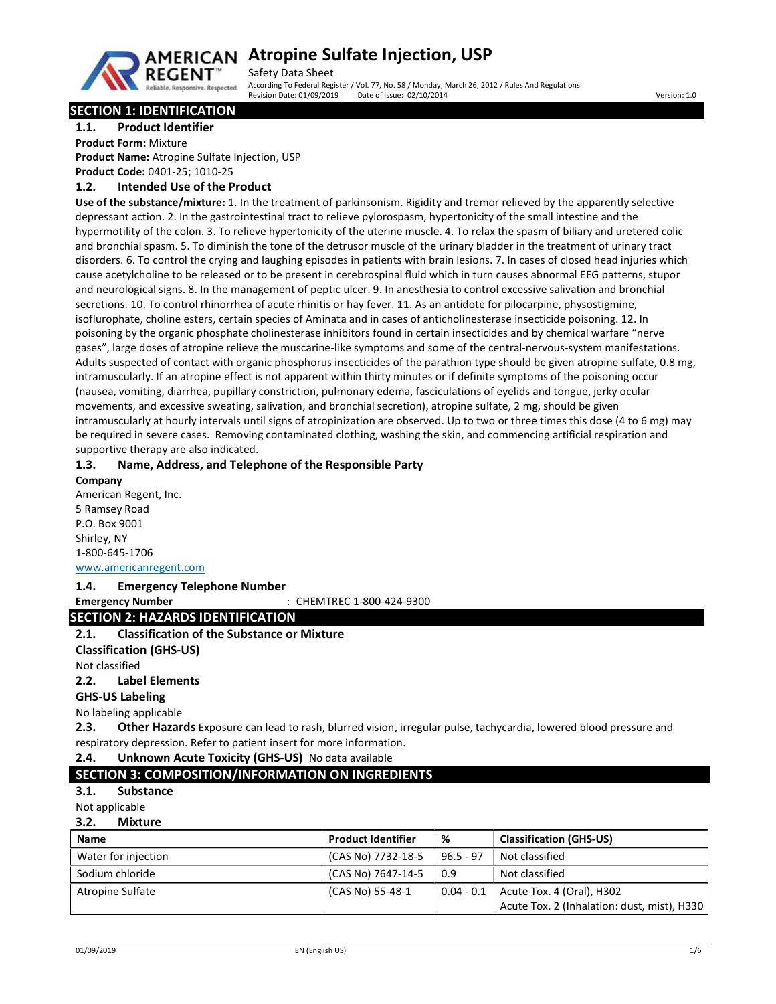

# AMERICAN Atropine Sulfate Injection, USP

Safety Data Sheet According To Federal Register / Vol. 77, No. 58 / Monday, March 26, 2012 / Rules And Regulations<br>Revision Date: 01/09/2019 Date of issue: 02/10/2014 Revision Date: 02/10/2014 Date: 02/10/2014 Date: 02/10/2014

# SECTION 1: IDENTIFICATION

1.1. Product Identifier

Product Form: Mixture

Product Name: Atropine Sulfate Injection, USP Product Code: 0401-25; 1010-25

# 1.2. Intended Use of the Product

Use of the substance/mixture: 1. In the treatment of parkinsonism. Rigidity and tremor relieved by the apparently selective depressant action. 2. In the gastrointestinal tract to relieve pylorospasm, hypertonicity of the small intestine and the hypermotility of the colon. 3. To relieve hypertonicity of the uterine muscle. 4. To relax the spasm of biliary and uretered colic and bronchial spasm. 5. To diminish the tone of the detrusor muscle of the urinary bladder in the treatment of urinary tract disorders. 6. To control the crying and laughing episodes in patients with brain lesions. 7. In cases of closed head injuries which cause acetylcholine to be released or to be present in cerebrospinal fluid which in turn causes abnormal EEG patterns, stupor and neurological signs. 8. In the management of peptic ulcer. 9. In anesthesia to control excessive salivation and bronchial secretions. 10. To control rhinorrhea of acute rhinitis or hay fever. 11. As an antidote for pilocarpine, physostigmine, isoflurophate, choline esters, certain species of Aminata and in cases of anticholinesterase insecticide poisoning. 12. In poisoning by the organic phosphate cholinesterase inhibitors found in certain insecticides and by chemical warfare "nerve gases", large doses of atropine relieve the muscarine-like symptoms and some of the central-nervous-system manifestations. Adults suspected of contact with organic phosphorus insecticides of the parathion type should be given atropine sulfate, 0.8 mg, intramuscularly. If an atropine effect is not apparent within thirty minutes or if definite symptoms of the poisoning occur (nausea, vomiting, diarrhea, pupillary constriction, pulmonary edema, fasciculations of eyelids and tongue, jerky ocular movements, and excessive sweating, salivation, and bronchial secretion), atropine sulfate, 2 mg, should be given intramuscularly at hourly intervals until signs of atropinization are observed. Up to two or three times this dose (4 to 6 mg) may be required in severe cases. Removing contaminated clothing, washing the skin, and commencing artificial respiration and supportive therapy are also indicated.

# 1.3. Name, Address, and Telephone of the Responsible Party

Company American Regent, Inc. 5 Ramsey Road P.O. Box 9001 Shirley, NY 1-800-645-1706 www.americanregent.com

# 1.4. Emergency Telephone Number

Emergency Number : CHEMTREC 1-800-424-9300

# SECTION 2: HAZARDS IDENTIFICATION

## 2.1. Classification of the Substance or Mixture

Classification (GHS-US)

Not classified

## 2.2. Label Elements

GHS-US Labeling

No labeling applicable

2.3. Other Hazards Exposure can lead to rash, blurred vision, irregular pulse, tachycardia, lowered blood pressure and respiratory depression. Refer to patient insert for more information.

## 2.4. Unknown Acute Toxicity (GHS-US) No data available

# SECTION 3: COMPOSITION/INFORMATION ON INGREDIENTS

3.1. Substance

Not applicable

#### 3.2. Mixture

| <b>Name</b>         | <b>Product Identifier</b> | %            | <b>Classification (GHS-US)</b>              |
|---------------------|---------------------------|--------------|---------------------------------------------|
| Water for injection | (CAS No) 7732-18-5        | $96.5 - 97$  | Not classified                              |
| Sodium chloride     | (CAS No) 7647-14-5        | 0.9          | Not classified                              |
| Atropine Sulfate    | (CAS No) 55-48-1          | $0.04 - 0.1$ | Acute Tox. 4 (Oral), H302                   |
|                     |                           |              | Acute Tox. 2 (Inhalation: dust, mist), H330 |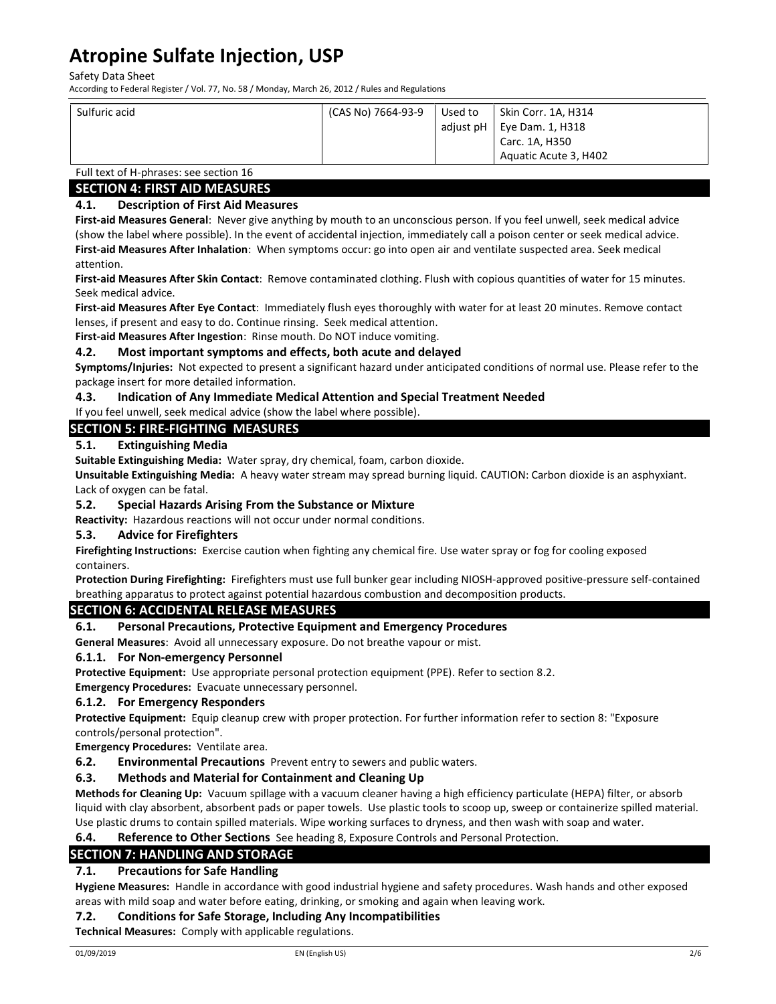Safety Data Sheet

According to Federal Register / Vol. 77, No. 58 / Monday, March 26, 2012 / Rules and Regulations

| Sulfuric acid | (CAS No) 7664-93-9 | Used to | Skin Corr. 1A, H314            |
|---------------|--------------------|---------|--------------------------------|
|               |                    |         | adjust $pH$   Eye Dam. 1, H318 |
|               |                    |         | Carc. 1A, H350                 |
|               |                    |         | Aquatic Acute 3, H402          |

# Full text of H-phrases: see section 16

# SECTION 4: FIRST AID MEASURES

# 4.1. Description of First Aid Measures

First-aid Measures General: Never give anything by mouth to an unconscious person. If you feel unwell, seek medical advice (show the label where possible). In the event of accidental injection, immediately call a poison center or seek medical advice. First-aid Measures After Inhalation: When symptoms occur: go into open air and ventilate suspected area. Seek medical attention.

First-aid Measures After Skin Contact: Remove contaminated clothing. Flush with copious quantities of water for 15 minutes. Seek medical advice.

First-aid Measures After Eye Contact: Immediately flush eyes thoroughly with water for at least 20 minutes. Remove contact lenses, if present and easy to do. Continue rinsing. Seek medical attention.

First-aid Measures After Ingestion: Rinse mouth. Do NOT induce vomiting.

# 4.2. Most important symptoms and effects, both acute and delayed

Symptoms/Injuries: Not expected to present a significant hazard under anticipated conditions of normal use. Please refer to the package insert for more detailed information.

# 4.3. Indication of Any Immediate Medical Attention and Special Treatment Needed

If you feel unwell, seek medical advice (show the label where possible).

# SECTION 5: FIRE-FIGHTING MEASURES

# 5.1. Extinguishing Media

Suitable Extinguishing Media: Water spray, dry chemical, foam, carbon dioxide.

Unsuitable Extinguishing Media: A heavy water stream may spread burning liquid. CAUTION: Carbon dioxide is an asphyxiant. Lack of oxygen can be fatal.

## 5.2. Special Hazards Arising From the Substance or Mixture

Reactivity: Hazardous reactions will not occur under normal conditions.

# 5.3. Advice for Firefighters

Firefighting Instructions: Exercise caution when fighting any chemical fire. Use water spray or fog for cooling exposed containers.

Protection During Firefighting: Firefighters must use full bunker gear including NIOSH-approved positive-pressure self-contained breathing apparatus to protect against potential hazardous combustion and decomposition products.

# SECTION 6: ACCIDENTAL RELEASE MEASURES

# 6.1. Personal Precautions, Protective Equipment and Emergency Procedures

General Measures: Avoid all unnecessary exposure. Do not breathe vapour or mist.

## 6.1.1. For Non-emergency Personnel

Protective Equipment: Use appropriate personal protection equipment (PPE). Refer to section 8.2.

Emergency Procedures: Evacuate unnecessary personnel.

## 6.1.2. For Emergency Responders

Protective Equipment: Equip cleanup crew with proper protection. For further information refer to section 8: "Exposure controls/personal protection".

Emergency Procedures: Ventilate area.

**6.2.** Environmental Precautions Prevent entry to sewers and public waters.

# 6.3. Methods and Material for Containment and Cleaning Up

Methods for Cleaning Up: Vacuum spillage with a vacuum cleaner having a high efficiency particulate (HEPA) filter, or absorb liquid with clay absorbent, absorbent pads or paper towels. Use plastic tools to scoop up, sweep or containerize spilled material. Use plastic drums to contain spilled materials. Wipe working surfaces to dryness, and then wash with soap and water.

## 6.4. Reference to Other Sections See heading 8, Exposure Controls and Personal Protection.

# SECTION 7: HANDLING AND STORAGE

# 7.1. Precautions for Safe Handling

Hygiene Measures: Handle in accordance with good industrial hygiene and safety procedures. Wash hands and other exposed areas with mild soap and water before eating, drinking, or smoking and again when leaving work.

## 7.2. Conditions for Safe Storage, Including Any Incompatibilities

Technical Measures: Comply with applicable regulations.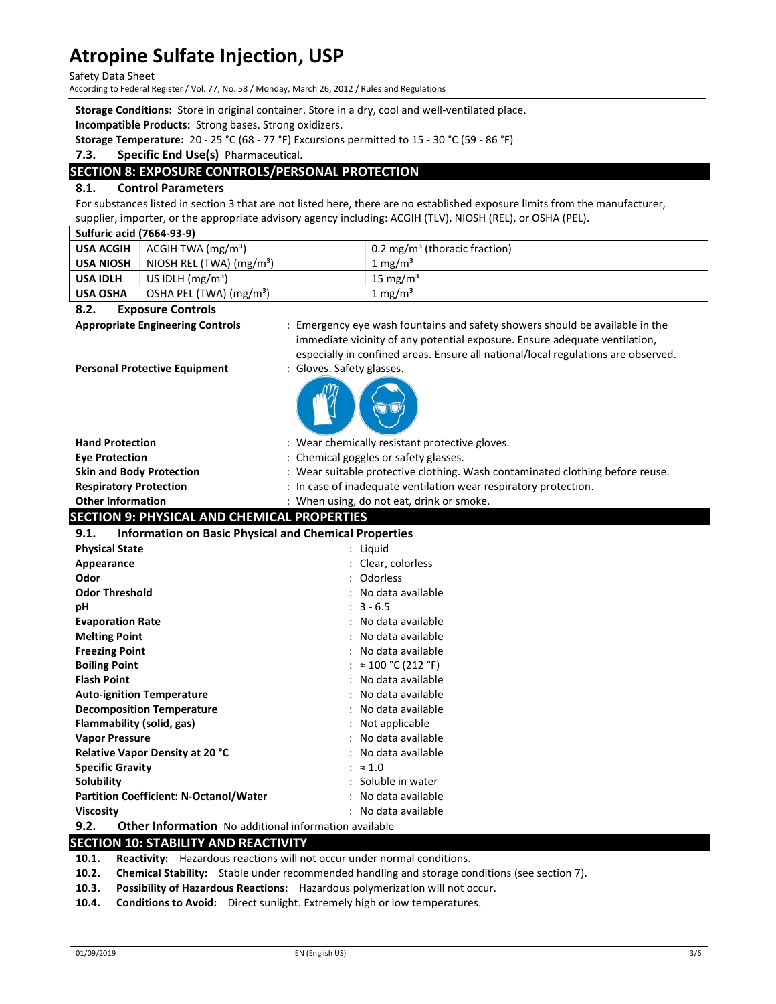Safety Data Sheet

According to Federal Register / Vol. 77, No. 58 / Monday, March 26, 2012 / Rules and Regulations

Storage Conditions: Store in original container. Store in a dry, cool and well-ventilated place.

Incompatible Products: Strong bases. Strong oxidizers.

Storage Temperature: 20 - 25 °C (68 - 77 °F) Excursions permitted to 15 - 30 °C (59 - 86 °F)

#### 7.3. Specific End Use(s) Pharmaceutical.

# SECTION 8: EXPOSURE CONTROLS/PERSONAL PROTECTION

# 8.1. Control Parameters

For substances listed in section 3 that are not listed here, there are no established exposure limits from the manufacturer, supplier, importer, or the appropriate advisory agency including: ACGIH (TLV), NIOSH (REL), or OSHA (PEL).

| Sulfuric acid (7664-93-9) |                                     |                                           |
|---------------------------|-------------------------------------|-------------------------------------------|
| <b>USA ACGIH</b>          | ACGIH TWA (mg/m <sup>3</sup> )      | 0.2 mg/m <sup>3</sup> (thoracic fraction) |
| <b>USA NIOSH</b>          | NIOSH REL (TWA) $(mg/m3)$           | 1 mg/m <sup>3</sup>                       |
| <b>USA IDLH</b>           | US IDLH $(mg/m3)$                   | 15 mg/m <sup>3</sup>                      |
| <b>USA OSHA</b>           | OSHA PEL (TWA) (mg/m <sup>3</sup> ) | 1 mg/m <sup>3</sup>                       |

#### 8.2. Exposure Controls

Appropriate Engineering Controls : Emergency eye wash fountains and safety showers should be available in the immediate vicinity of any potential exposure. Ensure adequate ventilation, especially in confined areas. Ensure all national/local regulations are observed.

Personal Protective Equipment : Gloves. Safety glasses.

| <b>Hand Protection</b>                                               | : Wear chemically resistant protective gloves.                                |
|----------------------------------------------------------------------|-------------------------------------------------------------------------------|
| <b>Eye Protection</b>                                                | : Chemical goggles or safety glasses.                                         |
| <b>Skin and Body Protection</b>                                      | : Wear suitable protective clothing. Wash contaminated clothing before reuse. |
| <b>Respiratory Protection</b>                                        | : In case of inadequate ventilation wear respiratory protection.              |
| <b>Other Information</b>                                             | : When using, do not eat, drink or smoke.                                     |
| <b>SECTION 9: PHYSICAL AND CHEMICAL PROPERTIES</b>                   |                                                                               |
| <b>Information on Basic Physical and Chemical Properties</b><br>9.1. |                                                                               |
| <b>Physical State</b>                                                | : Liquid                                                                      |
| Appearance                                                           | : Clear, colorless                                                            |
| Odor                                                                 | : Odorless                                                                    |
| <b>Odor Threshold</b>                                                | : No data available                                                           |
| рH                                                                   | $: 3 - 6.5$                                                                   |
| <b>Evaporation Rate</b>                                              | No data available                                                             |
| <b>Melting Point</b>                                                 | : No data available                                                           |
| <b>Freezing Point</b>                                                | No data available                                                             |
| <b>Boiling Point</b>                                                 | $\approx 100 \degree C (212 \degree F)$                                       |
| <b>Flash Point</b>                                                   | No data available                                                             |
| <b>Auto-ignition Temperature</b>                                     | No data available                                                             |
| <b>Decomposition Temperature</b>                                     | No data available                                                             |
| Flammability (solid, gas)                                            | Not applicable                                                                |
| <b>Vapor Pressure</b>                                                | No data available                                                             |
| Relative Vapor Density at 20 °C                                      | No data available                                                             |
| <b>Specific Gravity</b>                                              | $\approx 1.0$                                                                 |
| Solubility                                                           | : Soluble in water                                                            |
| <b>Partition Coefficient: N-Octanol/Water</b>                        | : No data available                                                           |
| <b>Viscosity</b>                                                     | : No data available                                                           |
| 9.2.<br>Other Information No additional information available        |                                                                               |
| <b>SECTION 10: STABILITY AND REACTIVITY</b>                          |                                                                               |

10.1. Reactivity: Hazardous reactions will not occur under normal conditions.

- 10.2. Chemical Stability: Stable under recommended handling and storage conditions (see section 7).
- 10.3. Possibility of Hazardous Reactions: Hazardous polymerization will not occur.

10.4. Conditions to Avoid: Direct sunlight. Extremely high or low temperatures.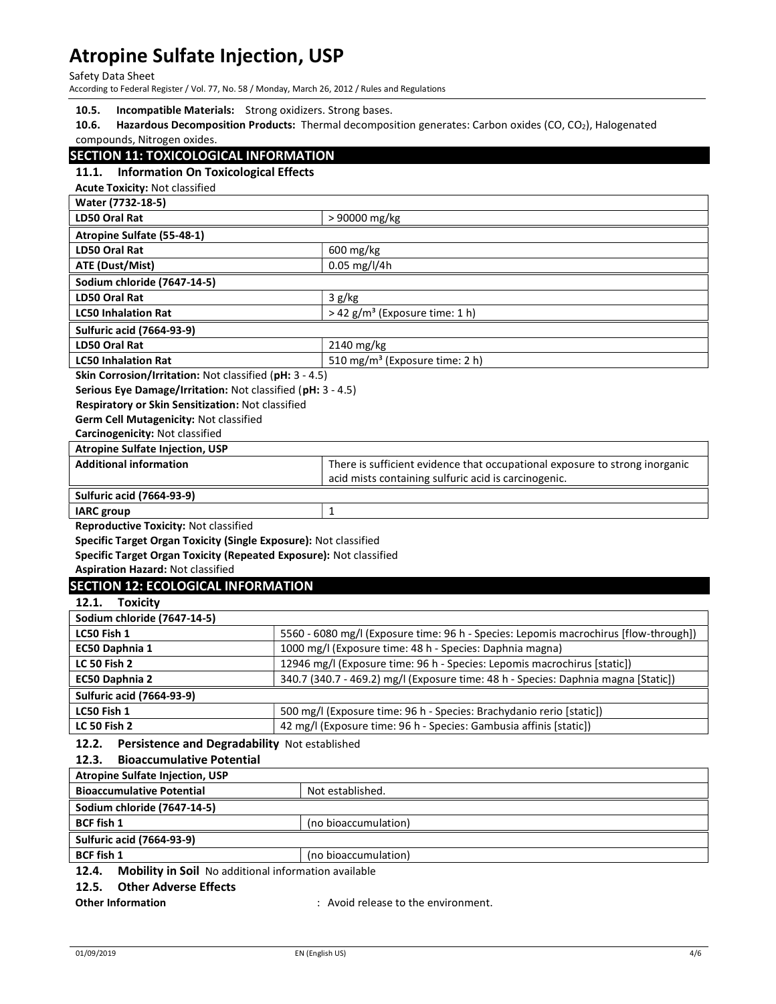## Safety Data Sheet

According to Federal Register / Vol. 77, No. 58 / Monday, March 26, 2012 / Rules and Regulations

|  | 10.5. |  | <b>Incompatible Materials:</b> Strong oxidizers. Strong bases. |
|--|-------|--|----------------------------------------------------------------|
|--|-------|--|----------------------------------------------------------------|

10.6. Hazardous Decomposition Products: Thermal decomposition generates: Carbon oxides (CO, CO<sub>2</sub>), Halogenated compounds, Nitrogen oxides.

# SECTION 11: TOXICOLOGICAL INFORMATION

# 11.1. Information On Toxicological Effects

Acute Toxicity: Not classified

| Water (7732-18-5)                                                                                                                      |                                                                                      |  |  |
|----------------------------------------------------------------------------------------------------------------------------------------|--------------------------------------------------------------------------------------|--|--|
| <b>LD50 Oral Rat</b>                                                                                                                   | > 90000 mg/kg                                                                        |  |  |
| Atropine Sulfate (55-48-1)                                                                                                             |                                                                                      |  |  |
| LD50 Oral Rat                                                                                                                          | 600 mg/kg                                                                            |  |  |
| <b>ATE (Dust/Mist)</b>                                                                                                                 | 0.05 mg/l/4h                                                                         |  |  |
| Sodium chloride (7647-14-5)                                                                                                            |                                                                                      |  |  |
| <b>LD50 Oral Rat</b>                                                                                                                   | 3 g/kg                                                                               |  |  |
| <b>LC50 Inhalation Rat</b>                                                                                                             | > 42 g/m <sup>3</sup> (Exposure time: 1 h)                                           |  |  |
| <b>Sulfuric acid (7664-93-9)</b>                                                                                                       |                                                                                      |  |  |
| <b>LD50 Oral Rat</b>                                                                                                                   | 2140 mg/kg                                                                           |  |  |
| <b>LC50 Inhalation Rat</b>                                                                                                             | 510 mg/m <sup>3</sup> (Exposure time: 2 h)                                           |  |  |
| Skin Corrosion/Irritation: Not classified (pH: 3 - 4.5)                                                                                |                                                                                      |  |  |
| Serious Eye Damage/Irritation: Not classified (pH: 3 - 4.5)                                                                            |                                                                                      |  |  |
| Respiratory or Skin Sensitization: Not classified                                                                                      |                                                                                      |  |  |
| Germ Cell Mutagenicity: Not classified                                                                                                 |                                                                                      |  |  |
| Carcinogenicity: Not classified                                                                                                        |                                                                                      |  |  |
| <b>Atropine Sulfate Injection, USP</b>                                                                                                 |                                                                                      |  |  |
| <b>Additional information</b>                                                                                                          | There is sufficient evidence that occupational exposure to strong inorganic          |  |  |
|                                                                                                                                        | acid mists containing sulfuric acid is carcinogenic.                                 |  |  |
| <b>Sulfuric acid (7664-93-9)</b>                                                                                                       |                                                                                      |  |  |
| <b>IARC</b> group                                                                                                                      | 1                                                                                    |  |  |
| Reproductive Toxicity: Not classified                                                                                                  |                                                                                      |  |  |
| Specific Target Organ Toxicity (Single Exposure): Not classified<br>Specific Target Organ Toxicity (Repeated Exposure): Not classified |                                                                                      |  |  |
| <b>Aspiration Hazard: Not classified</b>                                                                                               |                                                                                      |  |  |
| <b>SECTION 12: ECOLOGICAL INFORMATION</b>                                                                                              |                                                                                      |  |  |
| 12.1.<br><b>Toxicity</b>                                                                                                               |                                                                                      |  |  |
| Sodium chloride (7647-14-5)                                                                                                            |                                                                                      |  |  |
| LC50 Fish 1                                                                                                                            | 5560 - 6080 mg/l (Exposure time: 96 h - Species: Lepomis macrochirus [flow-through]) |  |  |
| EC50 Daphnia 1                                                                                                                         | 1000 mg/l (Exposure time: 48 h - Species: Daphnia magna)                             |  |  |
| <b>LC 50 Fish 2</b><br>12946 mg/l (Exposure time: 96 h - Species: Lepomis macrochirus [static])                                        |                                                                                      |  |  |
| 340.7 (340.7 - 469.2) mg/l (Exposure time: 48 h - Species: Daphnia magna [Static])<br>EC50 Daphnia 2                                   |                                                                                      |  |  |
| <b>Sulfuric acid (7664-93-9)</b>                                                                                                       |                                                                                      |  |  |
| LC50 Fish 1<br>500 mg/l (Exposure time: 96 h - Species: Brachydanio rerio [static])                                                    |                                                                                      |  |  |
| 42 mg/l (Exposure time: 96 h - Species: Gambusia affinis [static])<br><b>LC 50 Fish 2</b>                                              |                                                                                      |  |  |
| 12.2.<br>Persistence and Degradability Not established                                                                                 |                                                                                      |  |  |
| 12.3.<br><b>Bioaccumulative Potential</b>                                                                                              |                                                                                      |  |  |
| <b>Atropine Sulfate Injection, USP</b>                                                                                                 |                                                                                      |  |  |
| <b>Bioaccumulative Potential</b><br>Not established.                                                                                   |                                                                                      |  |  |
| Sodium chloride (7647-14-5)                                                                                                            |                                                                                      |  |  |
| <b>BCF fish 1</b>                                                                                                                      | (no bioaccumulation)                                                                 |  |  |
| <b>Sulfuric acid (7664-93-9)</b>                                                                                                       |                                                                                      |  |  |
| <b>BCF fish 1</b>                                                                                                                      | (no bioaccumulation)                                                                 |  |  |
| 12.4.<br>Mobility in Soil No additional information available                                                                          |                                                                                      |  |  |
|                                                                                                                                        |                                                                                      |  |  |
| 12.5.<br><b>Other Adverse Effects</b>                                                                                                  |                                                                                      |  |  |

Other Information **Calcular Entity Control**: Avoid release to the environment.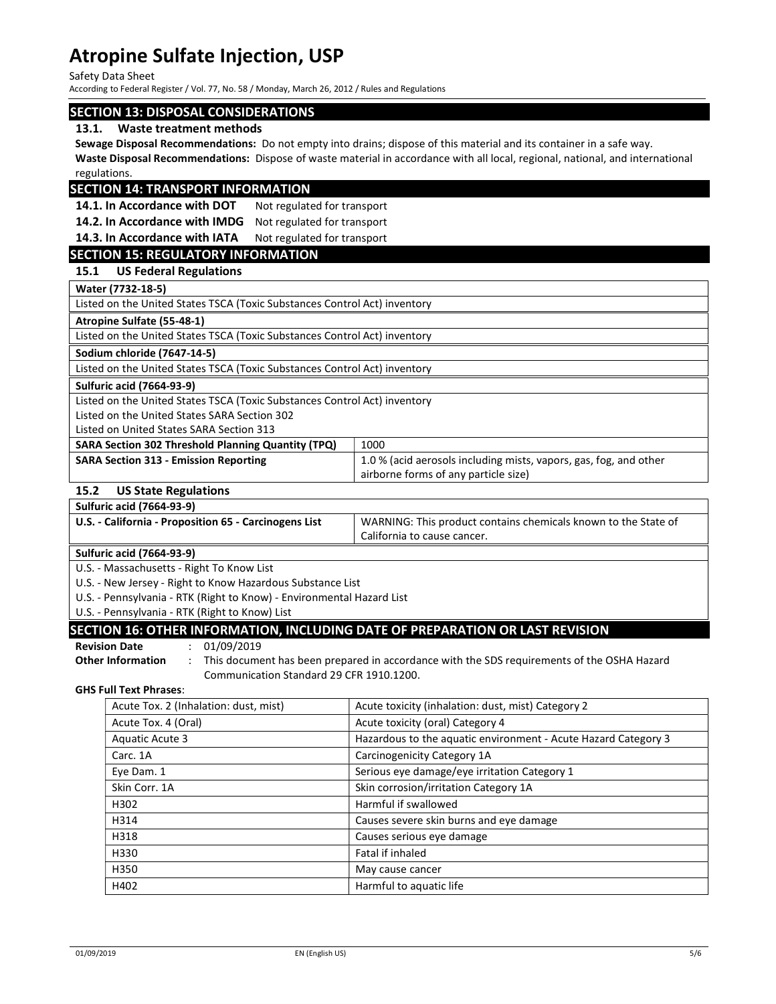Safety Data Sheet

According to Federal Register / Vol. 77, No. 58 / Monday, March 26, 2012 / Rules and Regulations

## SECTION 13: DISPOSAL CONSIDERATIONS

#### 13.1. Waste treatment methods

Sewage Disposal Recommendations: Do not empty into drains; dispose of this material and its container in a safe way. Waste Disposal Recommendations: Dispose of waste material in accordance with all local, regional, national, and international regulations.

# SECTION 14: TRANSPORT INFORMATION

14.1. In Accordance with DOT Not regulated for transport

14.2. In Accordance with IMDG Not regulated for transport

14.3. In Accordance with IATA Not regulated for transport

# SECTION 15: REGULATORY INFORMATION

## 15.1 US Federal Regulations

Water (7732-18-5)

| <b>WALCE 17734-10-31</b>                                                  |                                                                   |  |
|---------------------------------------------------------------------------|-------------------------------------------------------------------|--|
| Listed on the United States TSCA (Toxic Substances Control Act) inventory |                                                                   |  |
| Atropine Sulfate (55-48-1)                                                |                                                                   |  |
| Listed on the United States TSCA (Toxic Substances Control Act) inventory |                                                                   |  |
| Sodium chloride (7647-14-5)                                               |                                                                   |  |
| Listed on the United States TSCA (Toxic Substances Control Act) inventory |                                                                   |  |
| <b>Sulfuric acid (7664-93-9)</b>                                          |                                                                   |  |
| Listed on the United States TSCA (Toxic Substances Control Act) inventory |                                                                   |  |
| Listed on the United States SARA Section 302                              |                                                                   |  |
| Listed on United States SARA Section 313                                  |                                                                   |  |
| SARA Section 302 Threshold Planning Quantity (TPQ)                        | 1000                                                              |  |
| <b>SARA Section 313 - Emission Reporting</b>                              | 1.0 % (acid aerosols including mists, vapors, gas, fog, and other |  |
|                                                                           | airborne forms of any particle size)                              |  |
| <b>US State Regulations</b><br>15.2                                       |                                                                   |  |
| <b>Sulfuric acid (7664-93-9)</b>                                          |                                                                   |  |

| $500 - 500$                                           |                                                                |
|-------------------------------------------------------|----------------------------------------------------------------|
| U.S. - California - Proposition 65 - Carcinogens List | WARNING: This product contains chemicals known to the State of |
|                                                       | California to cause cancer.                                    |

Sulfuric acid (7664-93-9)

U.S. - Massachusetts - Right To Know List

U.S. - New Jersey - Right to Know Hazardous Substance List

U.S. - Pennsylvania - RTK (Right to Know) - Environmental Hazard List

U.S. - Pennsylvania - RTK (Right to Know) List

# SECTION 16: OTHER INFORMATION, INCLUDING DATE OF PREPARATION OR LAST REVISION

#### Revision Date : 01/09/2019

Other Information : This document has been prepared in accordance with the SDS requirements of the OSHA Hazard Communication Standard 29 CFR 1910.1200.

#### GHS Full Text Phrases:

| Acute Tox. 2 (Inhalation: dust, mist) | Acute toxicity (inhalation: dust, mist) Category 2             |
|---------------------------------------|----------------------------------------------------------------|
| Acute Tox. 4 (Oral)                   | Acute toxicity (oral) Category 4                               |
| Aquatic Acute 3                       | Hazardous to the aquatic environment - Acute Hazard Category 3 |
| Carc. 1A                              | Carcinogenicity Category 1A                                    |
| Eye Dam. 1                            | Serious eye damage/eye irritation Category 1                   |
| Skin Corr. 1A                         | Skin corrosion/irritation Category 1A                          |
| H302                                  | Harmful if swallowed                                           |
| H314                                  | Causes severe skin burns and eye damage                        |
| H318                                  | Causes serious eye damage                                      |
| H330                                  | Fatal if inhaled                                               |
| H350                                  | May cause cancer                                               |
| H402                                  | Harmful to aquatic life                                        |